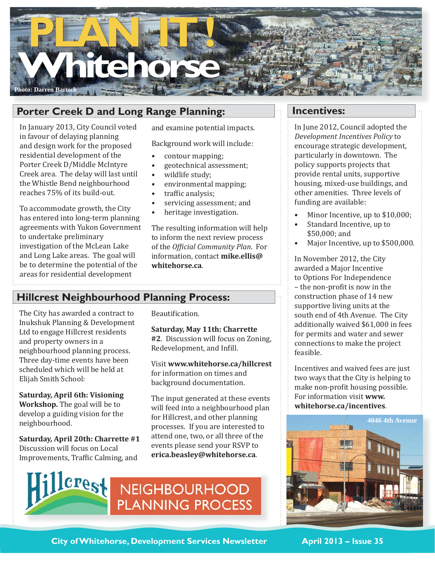

# **Porter Creek D and Long Range Planning:**

In January 2013, City Council voted in favour of delaying planning and design work for the proposed residential development of the Porter Creek D/Middle McIntyre Creek area. The delay will last until the Whistle Bend neighbourhood reaches 75% of its build-out.

To accommodate growth, the City has entered into long-term planning agreements with Yukon Government to undertake preliminary investigation of the McLean Lake and Long Lake areas. The goal will be to determine the potential of the areas for residential development

and examine potential impacts.

Background work will include:

- contour mapping; •
- geotechnical assessment; •
- wildlife study; •
- environmental mapping; •
- traffic analysis; •
- servicing assessment; and •
- heritage investigation. •

The resulting information will help to inform the next review process of the *Ofϔicial Community Plan*. For information, contact **mike.ellis@ whitehorse.ca**.

## **Hillcrest Neighbourhood Planning Process:**

The City has awarded a contract to Inukshuk Planning & Development Ltd to engage Hillcrest residents and property owners in a neighbourhood planning process. Three day-time events have been scheduled which will be held at Elijah Smith School:

**Saturday, April 6th: Visioning Workshop.** The goal will be to develop a guiding vision for the neighbourhood.

**Saturday, April 20th: Charrette #1** Discussion will focus on Local Improvements, Traffic Calming, and

Beautification.

**Saturday, May 11th: Charrette #2**. Discussion will focus on Zoning, Redevelopment, and Infill.

Visit **www.whitehorse.ca/hillcrest**  for information on times and background documentation.

The input generated at these events will feed into a neighbourhood plan for Hillcrest, and other planning processes. If you are interested to attend one, two, or all three of the events please send your RSVP to **erica.beasley@whitehorse.ca**.



NEIGHBOURHOOD **PLANNING PROCESS** 

### **Incentives:**

In June 2012, Council adopted the *Development Incentives Policy* to encourage strategic development, particularly in downtown. The policy supports projects that provide rental units, supportive housing, mixed-use buildings, and other amenities. Three levels of funding are available:

- Minor Incentive, up to \$10,000; •
- Standard Incentive, up to \$50,000; and •
- Major Incentive, up to \$500,000. •

In November 2012, the City awarded a Major Incentive to Options For Independence – the non-profit is now in the construction phase of 14 new supportive living units at the south end of 4th Avenue. The City additionally waived \$61,000 in fees for permits and water and sewer connections to make the project feasible.

Incentives and waived fees are just two ways that the City is helping to make non-profit housing possible. For information visit **www. whitehorse.ca/incentives**.



**City of Whitehorse, Development Services Newsletter April 2013 - Issue 35**